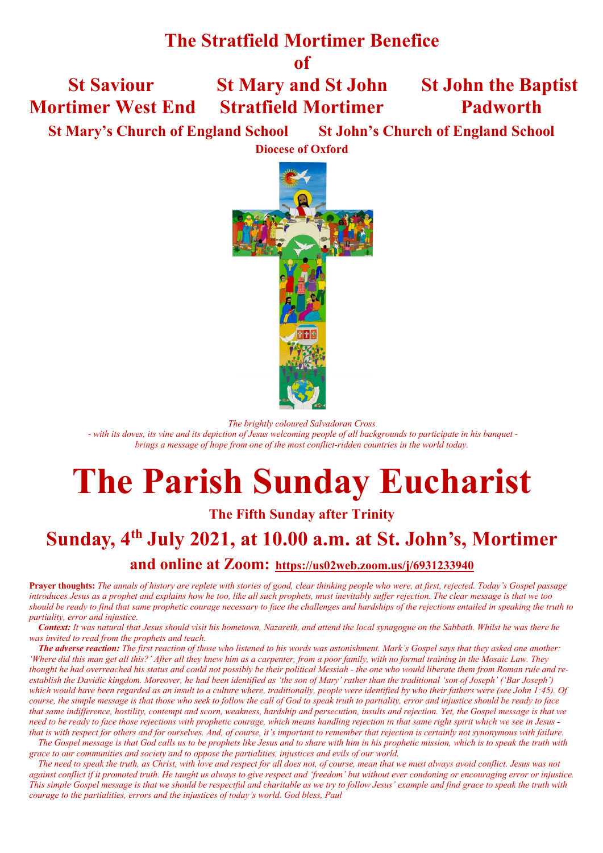# **The Stratfield Mortimer Benefice**

**of**

# **St Saviour St Mary and St John St John the Baptist Mortimer West End Stratfield Mortimer Padworth**

 **St Mary's Church of England School St John's Church of England School**

**Diocese of Oxford**



*The brightly coloured Salvadoran Cross*

*- with its doves, its vine and its depiction of Jesus welcoming people of all backgrounds to participate in his banquet brings a message of hope from one of the most conflict-ridden countries in the world today.*

# **The Parish Sunday Eucharist**

**The Fifth Sunday after Trinity**

# **Sunday, 4th July 2021, at 10.00 a.m. at St. John's, Mortimer**

**and online at Zoom: https://us02web.zoom.us/j/6931233940**

**Prayer thoughts:** *The annals of history are replete with stories of good, clear thinking people who were, at first, rejected. Today's Gospel passage introduces Jesus as a prophet and explains how he too, like all such prophets, must inevitably suffer rejection. The clear message is that we too should be ready to find that same prophetic courage necessary to face the challenges and hardships of the rejections entailed in speaking the truth to partiality, error and injustice.*

 *Context: It was natural that Jesus should visit his hometown, Nazareth, and attend the local synagogue on the Sabbath. Whilst he was there he was invited to read from the prophets and teach.* 

 *The adverse reaction: The first reaction of those who listened to his words was astonishment. Mark's Gospel says that they asked one another: 'Where did this man get all this?' After all they knew him as a carpenter, from a poor family, with no formal training in the Mosaic Law. They thought he had overreached his status and could not possibly be their political Messiah - the one who would liberate them from Roman rule and reestablish the Davidic kingdom. Moreover, he had been identified as 'the son of Mary' rather than the traditional 'son of Joseph' ('Bar Joseph') which would have been regarded as an insult to a culture where, traditionally, people were identified by who their fathers were (see John 1:45). Of course, the simple message is that those who seek to follow the call of God to speak truth to partiality, error and injustice should be ready to face that same indifference, hostility, contempt and scorn, weakness, hardship and persecution, insults and rejection. Yet, the Gospel message is that we need to be ready to face those rejections with prophetic courage, which means handling rejection in that same right spirit which we see in Jesus that is with respect for others and for ourselves. And, of course, it's important to remember that rejection is certainly not synonymous with failure.* 

 *The Gospel message is that God calls us to be prophets like Jesus and to share with him in his prophetic mission, which is to speak the truth with grace to our communities and society and to oppose the partialities, injustices and evils of our world.* 

 *The need to speak the truth, as Christ, with love and respect for all does not, of course, mean that we must always avoid conflict. Jesus was not against conflict if it promoted truth. He taught us always to give respect and 'freedom' but without ever condoning or encouraging error or injustice. This simple Gospel message is that we should be respectful and charitable as we try to follow Jesus' example and find grace to speak the truth with courage to the partialities, errors and the injustices of today's world. God bless, Paul*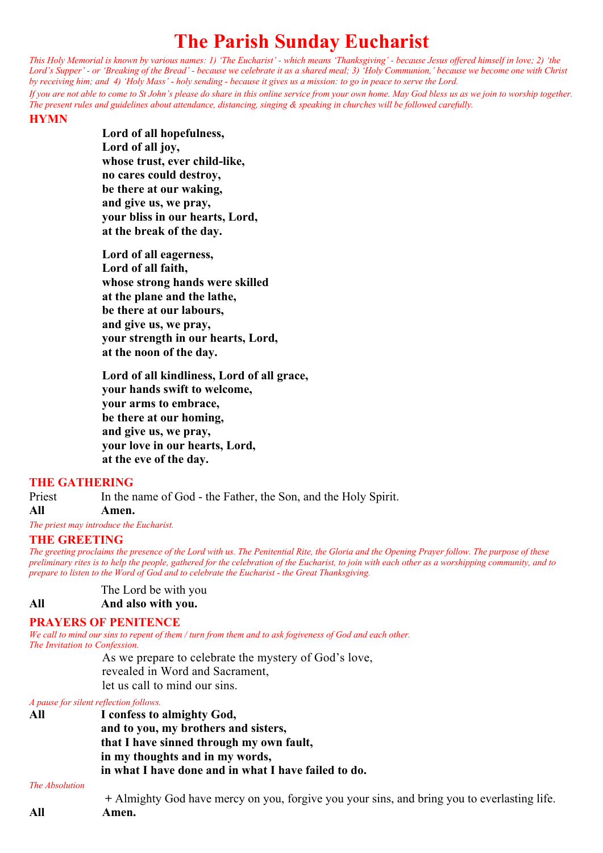# **The Parish Sunday Eucharist**

*This Holy Memorial is known by various names: 1) 'The Eucharist' - which means 'Thanksgiving' - because Jesus offered himself in love; 2) 'the Lord's Supper' - or 'Breaking of the Bread' - because we celebrate it as a shared meal; 3) 'Holy Communion,' because we become one with Christ by receiving him; and 4) 'Holy Mass' - holy sending - because it gives us a mission: to go in peace to serve the Lord.*

*If you are not able to come to St John's please do share in this online service from your own home. May God bless us as we join to worship together. The present rules and guidelines about attendance, distancing, singing & speaking in churches will be followed carefully.*

#### **HYMN**

**Lord of all hopefulness, Lord of all joy, whose trust, ever child-like, no cares could destroy, be there at our waking, and give us, we pray, your bliss in our hearts, Lord, at the break of the day.**

**Lord of all eagerness, Lord of all faith, whose strong hands were skilled at the plane and the lathe, be there at our labours, and give us, we pray, your strength in our hearts, Lord, at the noon of the day.**

**Lord of all kindliness, Lord of all grace, your hands swift to welcome, your arms to embrace, be there at our homing, and give us, we pray, your love in our hearts, Lord, at the eve of the day.**

#### **THE GATHERING**

Priest In the name of God - the Father, the Son, and the Holy Spirit.

**All Amen.**

*The priest may introduce the Eucharist.*

### **THE GREETING**

*The greeting proclaims the presence of the Lord with us. The Penitential Rite, the Gloria and the Opening Prayer follow. The purpose of these preliminary rites is to help the people, gathered for the celebration of the Eucharist, to join with each other as a worshipping community, and to prepare to listen to the Word of God and to celebrate the Eucharist - the Great Thanksgiving.*

The Lord be with you

**All And also with you.**

#### **PRAYERS OF PENITENCE**

*We call to mind our sins to repent of them / turn from them and to ask fogiveness of God and each other. The Invitation to Confession.*

As we prepare to celebrate the mystery of God's love, revealed in Word and Sacrament, let us call to mind our sins.

*A pause for silent reflection follows.*

**All I confess to almighty God, and to you, my brothers and sisters, that I have sinned through my own fault, in my thoughts and in my words, in what I have done and in what I have failed to do.**

#### **The Absolution**

 **+** Almighty God have mercy on you, forgive you your sins, and bring you to everlasting life. **All Amen.**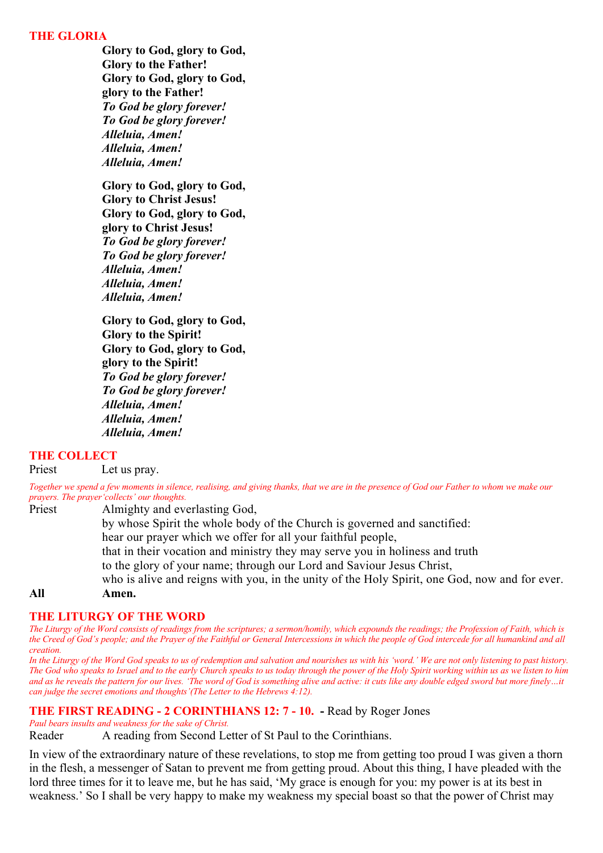#### **THE GLORIA**

**Glory to God, glory to God, Glory to the Father! Glory to God, glory to God, glory to the Father!** *To God be glory forever! To God be glory forever! Alleluia, Amen! Alleluia, Amen! Alleluia, Amen!*

**Glory to God, glory to God, Glory to Christ Jesus! Glory to God, glory to God, glory to Christ Jesus!** *To God be glory forever! To God be glory forever! Alleluia, Amen! Alleluia, Amen! Alleluia, Amen!*

**Glory to God, glory to God, Glory to the Spirit! Glory to God, glory to God, glory to the Spirit!** *To God be glory forever! To God be glory forever! Alleluia, Amen! Alleluia, Amen! Alleluia, Amen!*

### **THE COLLECT**

Priest Let us pray.

*Together we spend a few moments in silence, realising, and giving thanks, that we are in the presence of God our Father to whom we make our prayers. The prayer'collects' our thoughts.* 

Priest Almighty and everlasting God,

by whose Spirit the whole body of the Church is governed and sanctified:

hear our prayer which we offer for all your faithful people,

that in their vocation and ministry they may serve you in holiness and truth

to the glory of your name; through our Lord and Saviour Jesus Christ,

who is alive and reigns with you, in the unity of the Holy Spirit, one God, now and for ever.

**All Amen.**

#### **THE LITURGY OF THE WORD**

*The Liturgy of the Word consists of readings from the scriptures; a sermon/homily, which expounds the readings; the Profession of Faith, which is the Creed of God's people; and the Prayer of the Faithful or General Intercessions in which the people of God intercede for all humankind and all creation.* 

*In the Liturgy of the Word God speaks to us of redemption and salvation and nourishes us with his 'word.' We are not only listening to past history. The God who speaks to Israel and to the early Church speaks to us today through the power of the Holy Spirit working within us as we listen to him*  and as he reveals the pattern for our lives. 'The word of God is something alive and active: it cuts like any double edged sword but more finely...it *can judge the secret emotions and thoughts'(The Letter to the Hebrews 4:12).*

#### **THE FIRST READING - 2 CORINTHIANS 12: 7 - 10. -** Read by Roger Jones

#### *Paul bears insults and weakness for the sake of Christ.*

Reader A reading from Second Letter of St Paul to the Corinthians.

In view of the extraordinary nature of these revelations, to stop me from getting too proud I was given a thorn in the flesh, a messenger of Satan to prevent me from getting proud. About this thing, I have pleaded with the lord three times for it to leave me, but he has said, 'My grace is enough for you: my power is at its best in weakness.' So I shall be very happy to make my weakness my special boast so that the power of Christ may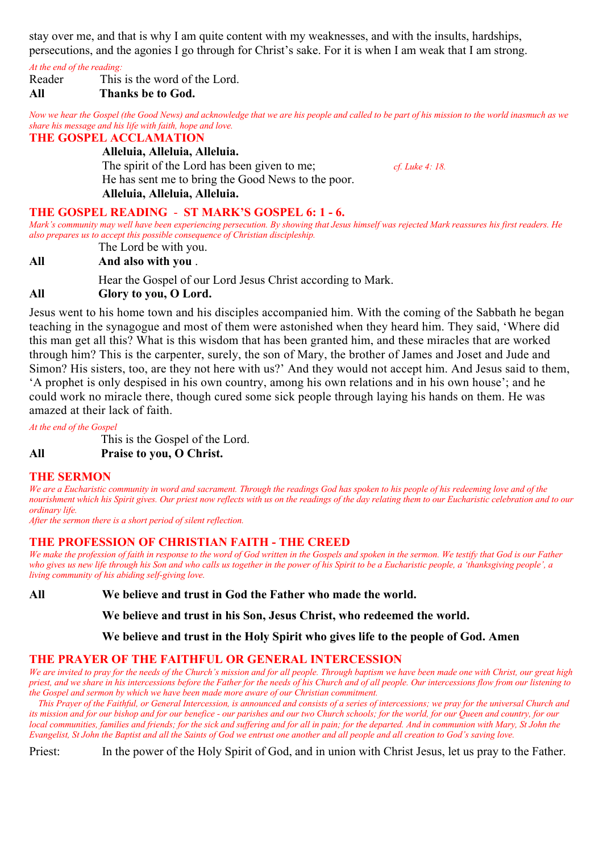stay over me, and that is why I am quite content with my weaknesses, and with the insults, hardships, persecutions, and the agonies I go through for Christ's sake. For it is when I am weak that I am strong.

#### *At the end of the reading:*

Reader This is the word of the Lord.

# **All Thanks be to God.**

*Now we hear the Gospel (the Good News) and acknowledge that we are his people and called to be part of his mission to the world inasmuch as we share his message and his life with faith, hope and love.*

# **THE GOSPEL ACCLAMATION**

**Alleluia, Alleluia, Alleluia.**

The spirit of the Lord has been given to me; *cf. Luke 4: 18.* He has sent me to bring the Good News to the poor. **Alleluia, Alleluia, Alleluia.**

# **THE GOSPEL READING** - **ST MARK'S GOSPEL 6: 1 - 6.**

*Mark's community may well have been experiencing persecution. By showing that Jesus himself was rejected Mark reassures his first readers. He also prepares us to accept this possible consequence of Christian discipleship.*

The Lord be with you. **All And also with you** .

Hear the Gospel of our Lord Jesus Christ according to Mark. **All Glory to you, O Lord.** 

Jesus went to his home town and his disciples accompanied him. With the coming of the Sabbath he began teaching in the synagogue and most of them were astonished when they heard him. They said, 'Where did this man get all this? What is this wisdom that has been granted him, and these miracles that are worked through him? This is the carpenter, surely, the son of Mary, the brother of James and Joset and Jude and Simon? His sisters, too, are they not here with us?' And they would not accept him. And Jesus said to them, 'A prophet is only despised in his own country, among his own relations and in his own house'; and he could work no miracle there, though cured some sick people through laying his hands on them. He was amazed at their lack of faith.

### *At the end of the Gospel*

This is the Gospel of the Lord.

**All Praise to you, O Christ.**

# **THE SERMON**

*We are a Eucharistic community in word and sacrament. Through the readings God has spoken to his people of his redeeming love and of the nourishment which his Spirit gives. Our priest now reflects with us on the readings of the day relating them to our Eucharistic celebration and to our ordinary life.*

*After the sermon there is a short period of silent reflection.*

# **THE PROFESSION OF CHRISTIAN FAITH - THE CREED**

*We make the profession of faith in response to the word of God written in the Gospels and spoken in the sermon. We testify that God is our Father who gives us new life through his Son and who calls us together in the power of his Spirit to be a Eucharistic people, a 'thanksgiving people', a living community of his abiding self-giving love.*

**All We believe and trust in God the Father who made the world.** 

**We believe and trust in his Son, Jesus Christ, who redeemed the world.** 

**We believe and trust in the Holy Spirit who gives life to the people of God. Amen**

# **THE PRAYER OF THE FAITHFUL OR GENERAL INTERCESSION**

*We are invited to pray for the needs of the Church's mission and for all people. Through baptism we have been made one with Christ, our great high priest, and we share in his intercessions before the Father for the needs of his Church and of all people. Our intercessions flow from our listening to the Gospel and sermon by which we have been made more aware of our Christian commitment.* 

 *This Prayer of the Faithful, or General Intercession, is announced and consists of a series of intercessions; we pray for the universal Church and its mission and for our bishop and for our benefice - our parishes and our two Church schools; for the world, for our Queen and country, for our local communities, families and friends; for the sick and suffering and for all in pain; for the departed. And in communion with Mary, St John the Evangelist, St John the Baptist and all the Saints of God we entrust one another and all people and all creation to God's saving love.*

Priest: In the power of the Holy Spirit of God, and in union with Christ Jesus, let us pray to the Father.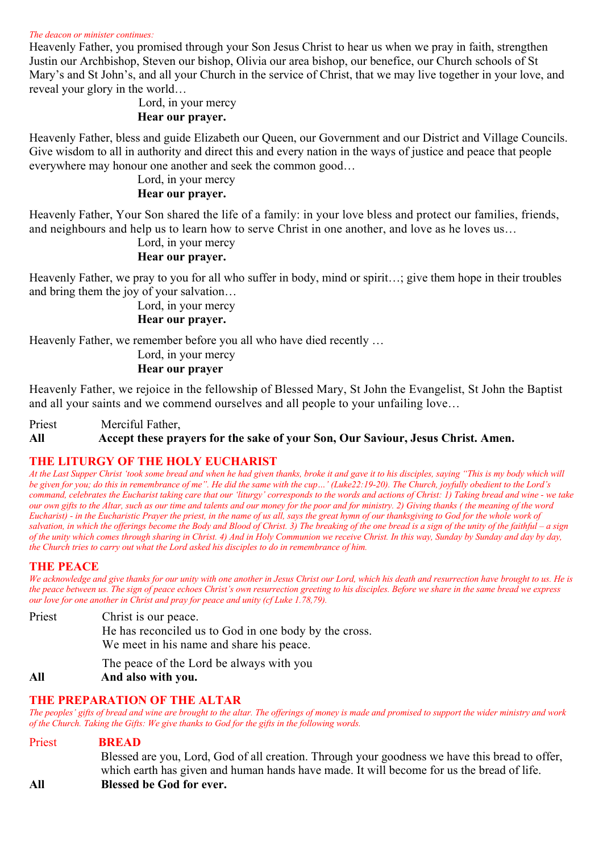#### *The deacon or minister continues:*

Heavenly Father, you promised through your Son Jesus Christ to hear us when we pray in faith, strengthen Justin our Archbishop, Steven our bishop, Olivia our area bishop, our benefice, our Church schools of St Mary's and St John's, and all your Church in the service of Christ, that we may live together in your love, and reveal your glory in the world…

# Lord, in your mercy  **Hear our prayer.**

Heavenly Father, bless and guide Elizabeth our Queen, our Government and our District and Village Councils. Give wisdom to all in authority and direct this and every nation in the ways of justice and peace that people everywhere may honour one another and seek the common good…

#### Lord, in your mercy  **Hear our prayer.**

Heavenly Father, Your Son shared the life of a family: in your love bless and protect our families, friends, and neighbours and help us to learn how to serve Christ in one another, and love as he loves us…

# Lord, in your mercy

# **Hear our prayer.**

Heavenly Father, we pray to you for all who suffer in body, mind or spirit…; give them hope in their troubles and bring them the joy of your salvation…

> Lord, in your mercy  **Hear our prayer.**

Heavenly Father, we remember before you all who have died recently …

 Lord, in your mercy  **Hear our prayer** 

Heavenly Father, we rejoice in the fellowship of Blessed Mary, St John the Evangelist, St John the Baptist and all your saints and we commend ourselves and all people to your unfailing love…

Priest Merciful Father,

### **All Accept these prayers for the sake of your Son, Our Saviour, Jesus Christ. Amen.**

### **THE LITURGY OF THE HOLY EUCHARIST**

*At the Last Supper Christ 'took some bread and when he had given thanks, broke it and gave it to his disciples, saying "This is my body which will be given for you; do this in remembrance of me". He did the same with the cup…' (Luke22:19-20). The Church, joyfully obedient to the Lord's command, celebrates the Eucharist taking care that our 'liturgy' corresponds to the words and actions of Christ: 1) Taking bread and wine - we take our own gifts to the Altar, such as our time and talents and our money for the poor and for ministry. 2) Giving thanks ( the meaning of the word Eucharist) - in the Eucharistic Prayer the priest, in the name of us all, says the great hymn of our thanksgiving to God for the whole work of salvation, in which the offerings become the Body and Blood of Christ. 3) The breaking of the one bread is a sign of the unity of the faithful – a sign of the unity which comes through sharing in Christ. 4) And in Holy Communion we receive Christ. In this way, Sunday by Sunday and day by day, the Church tries to carry out what the Lord asked his disciples to do in remembrance of him.*

### **THE PEACE**

*We acknowledge and give thanks for our unity with one another in Jesus Christ our Lord, which his death and resurrection have brought to us. He is the peace between us. The sign of peace echoes Christ's own resurrection greeting to his disciples. Before we share in the same bread we express our love for one another in Christ and pray for peace and unity (cf Luke 1.78,79).*

Priest Christ is our peace.

He has reconciled us to God in one body by the cross. We meet in his name and share his peace.

The peace of the Lord be always with you

### **All And also with you.**

### **THE PREPARATION OF THE ALTAR**

*The peoples' gifts of bread and wine are brought to the altar. The offerings of money is made and promised to support the wider ministry and work of the Church. Taking the Gifts: We give thanks to God for the gifts in the following words.*

Priest **BREAD** Blessed are you, Lord, God of all creation. Through your goodness we have this bread to offer, which earth has given and human hands have made. It will become for us the bread of life. **All Blessed be God for ever.**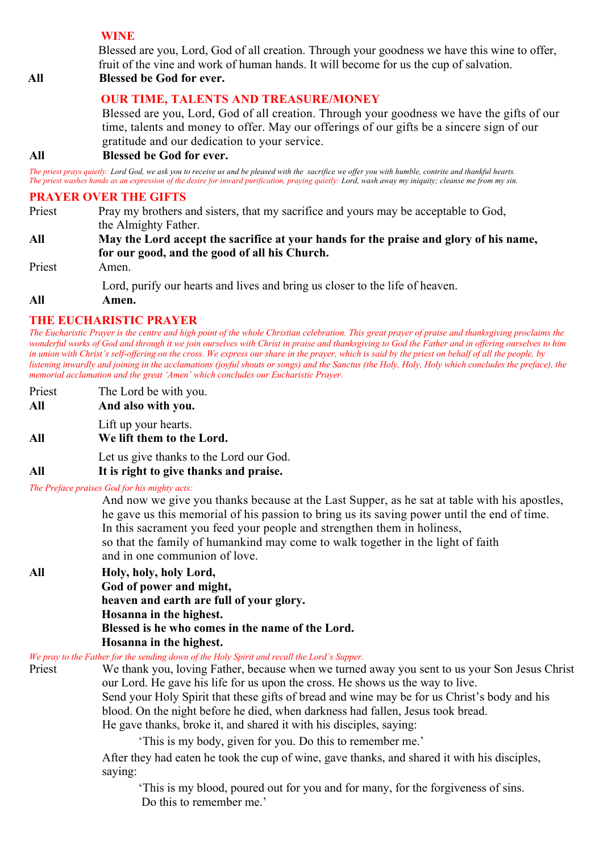# **WINE**

Blessed are you, Lord, God of all creation. Through your goodness we have this wine to offer, fruit of the vine and work of human hands. It will become for us the cup of salvation.

# **All All Blessed be God for ever.**

# **OUR TIME, TALENTS AND TREASURE/MONEY**

Blessed are you, Lord, God of all creation. Through your goodness we have the gifts of our time, talents and money to offer. May our offerings of our gifts be a sincere sign of our gratitude and our dedication to your service.

# **All Blessed be God for ever.**

*The priest prays quietly: Lord God, we ask you to receive us and be pleased with the sacrifice we offer you with humble, contrite and thankful hearts. The priest washes hands as an expression of the desire for inward purification, praying quietly: Lord, wash away my iniquity; cleanse me from my sin.*

# **PRAYER OVER THE GIFTS**

- Priest Pray my brothers and sisters, that my sacrifice and yours may be acceptable to God, the Almighty Father. **All May the Lord accept the sacrifice at your hands for the praise and glory of his name, for our good, and the good of all his Church.** Priest Amen. Lord, purify our hearts and lives and bring us closer to the life of heaven.
- **All Amen.**

# **THE EUCHARISTIC PRAYER**

*The Eucharistic Prayer is the centre and high point of the whole Christian celebration. This great prayer of praise and thanksgiving proclaims the wonderful works of God and through it we join ourselves with Christ in praise and thanksgiving to God the Father and in offering ourselves to him in union with Christ's self-offering on the cross. We express our share in the prayer, which is said by the priest on behalf of all the people, by listening inwardly and joining in the acclamations (joyful shouts or songs) and the Sanctus (the Holy, Holy, Holy which concludes the preface), the memorial acclamation and the great 'Amen' which concludes our Eucharistic Prayer.*

- Priest The Lord be with you.
- **All And also with you.**
- Lift up your hearts.
- **All We lift them to the Lord.**

Let us give thanks to the Lord our God.

### **All It is right to give thanks and praise.**

#### *The Preface praises God for his mighty acts:*

And now we give you thanks because at the Last Supper, as he sat at table with his apostles, he gave us this memorial of his passion to bring us its saving power until the end of time. In this sacrament you feed your people and strengthen them in holiness, so that the family of humankind may come to walk together in the light of faith and in one communion of love.

# **All Holy, holy, holy Lord, God of power and might, heaven and earth are full of your glory.**

**Hosanna in the highest. Blessed is he who comes in the name of the Lord. Hosanna in the highest.**

*We pray to the Father for the sending down of the Holy Spirit and recall the Lord's Supper.*

Priest We thank you, loving Father, because when we turned away you sent to us your Son Jesus Christ our Lord. He gave his life for us upon the cross. He shows us the way to live. Send your Holy Spirit that these gifts of bread and wine may be for us Christ's body and his blood. On the night before he died, when darkness had fallen, Jesus took bread. He gave thanks, broke it, and shared it with his disciples, saying:

'This is my body, given for you. Do this to remember me.'

After they had eaten he took the cup of wine, gave thanks, and shared it with his disciples, saying:

 'This is my blood, poured out for you and for many, for the forgiveness of sins. Do this to remember me.'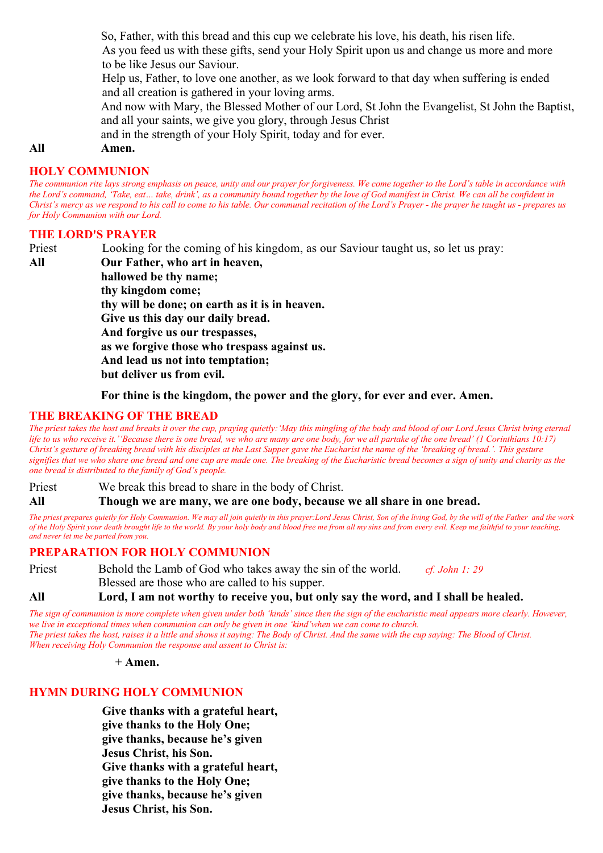So, Father, with this bread and this cup we celebrate his love, his death, his risen life.

As you feed us with these gifts, send your Holy Spirit upon us and change us more and more to be like Jesus our Saviour.

Help us, Father, to love one another, as we look forward to that day when suffering is ended and all creation is gathered in your loving arms.

And now with Mary, the Blessed Mother of our Lord, St John the Evangelist, St John the Baptist, and all your saints, we give you glory, through Jesus Christ

and in the strength of your Holy Spirit, today and for ever.

#### **All Amen.**

#### **HOLY COMMUNION**

*The communion rite lays strong emphasis on peace, unity and our prayer for forgiveness. We come together to the Lord's table in accordance with the Lord's command, 'Take, eat… take, drink', as a community bound together by the love of God manifest in Christ. We can all be confident in Christ's mercy as we respond to his call to come to his table. Our communal recitation of the Lord's Prayer - the prayer he taught us - prepares us for Holy Communion with our Lord.*

#### **THE LORD'S PRAYER**

Priest Looking for the coming of his kingdom, as our Saviour taught us, so let us pray: **All Our Father, who art in heaven, hallowed be thy name; thy kingdom come; thy will be done; on earth as it is in heaven. Give us this day our daily bread. And forgive us our trespasses, as we forgive those who trespass against us. And lead us not into temptation; but deliver us from evil.**

**For thine is the kingdom, the power and the glory, for ever and ever. Amen.**

### **THE BREAKING OF THE BREAD**

*The priest takes the host and breaks it over the cup, praying quietly:'May this mingling of the body and blood of our Lord Jesus Christ bring eternal life to us who receive it.''Because there is one bread, we who are many are one body, for we all partake of the one bread' (1 Corinthians 10:17) Christ's gesture of breaking bread with his disciples at the Last Supper gave the Eucharist the name of the 'breaking of bread.'. This gesture signifies that we who share one bread and one cup are made one. The breaking of the Eucharistic bread becomes a sign of unity and charity as the one bread is distributed to the family of God's people.*

Priest We break this bread to share in the body of Christ.

**All Though we are many, we are one body, because we all share in one bread.**

*The priest prepares quietly for Holy Communion. We may all join quietly in this prayer:Lord Jesus Christ, Son of the living God, by the will of the Father and the work of the Holy Spirit your death brought life to the world. By your holy body and blood free me from all my sins and from every evil. Keep me faithful to your teaching, and never let me be parted from you.*

### **PREPARATION FOR HOLY COMMUNION**

Priest Behold the Lamb of God who takes away the sin of the world. *cf. John 1: 29* Blessed are those who are called to his supper.

**All Lord, I am not worthy to receive you, but only say the word, and I shall be healed.**

*The sign of communion is more complete when given under both 'kinds' since then the sign of the eucharistic meal appears more clearly. However, we live in exceptional times when communion can only be given in one 'kind'when we can come to church. The priest takes the host, raises it a little and shows it saying: The Body of Christ. And the same with the cup saying: The Blood of Christ. When receiving Holy Communion the response and assent to Christ is:*

+ **Amen.** 

# **HYMN DURING HOLY COMMUNION**

**Give thanks with a grateful heart, give thanks to the Holy One; give thanks, because he's given Jesus Christ, his Son. Give thanks with a grateful heart, give thanks to the Holy One; give thanks, because he's given Jesus Christ, his Son.**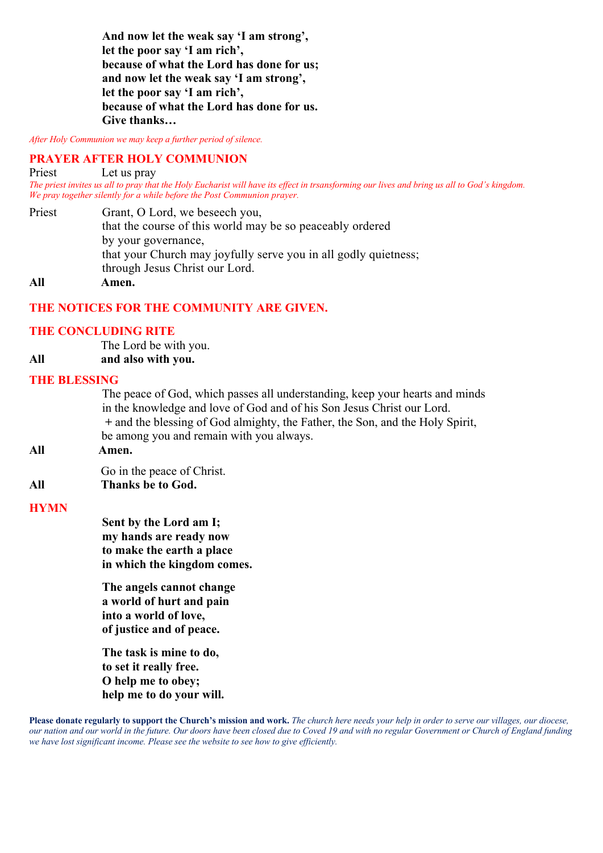**And now let the weak say 'I am strong', let the poor say 'I am rich', because of what the Lord has done for us; and now let the weak say 'I am strong', let the poor say 'I am rich', because of what the Lord has done for us. Give thanks…**

*After Holy Communion we may keep a further period of silence.*

#### **PRAYER AFTER HOLY COMMUNION**

Priest Let us pray

*The priest invites us all to pray that the Holy Eucharist will have its effect in trsansforming our lives and bring us all to God's kingdom. We pray together silently for a while before the Post Communion prayer.*

Priest Grant, O Lord, we beseech you, that the course of this world may be so peaceably ordered by your governance, that your Church may joyfully serve you in all godly quietness; through Jesus Christ our Lord. **All Amen.**

### **THE NOTICES FOR THE COMMUNITY ARE GIVEN.**

#### **THE CONCLUDING RITE**

The Lord be with you.

**All and also with you.**

#### **THE BLESSING**

The peace of God, which passes all understanding, keep your hearts and minds in the knowledge and love of God and of his Son Jesus Christ our Lord. **+** and the blessing of God almighty, the Father, the Son, and the Holy Spirit, be among you and remain with you always.

**All Amen.**

Go in the peace of Christ.

**All Thanks be to God.** 

#### **HYMN**

**Sent by the Lord am I; my hands are ready now to make the earth a place in which the kingdom comes.** 

**The angels cannot change a world of hurt and pain into a world of love, of justice and of peace.**

**The task is mine to do, to set it really free. O help me to obey; help me to do your will.**